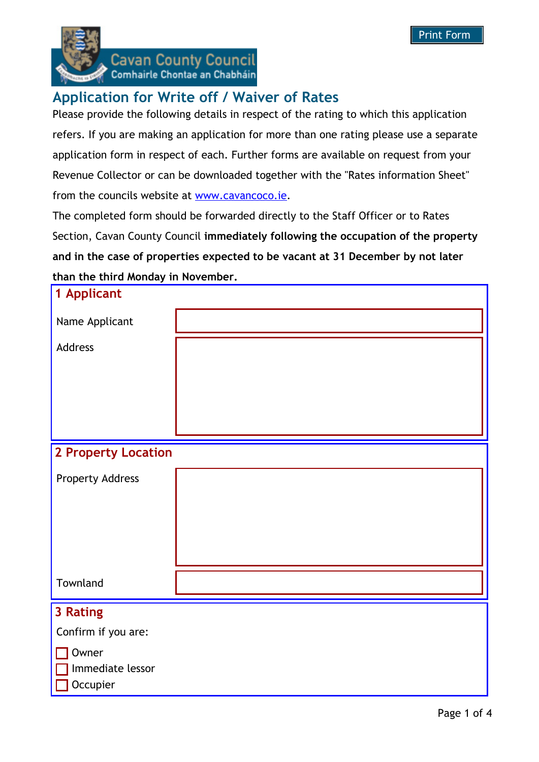

**Cavan County Council** Comhairle Chontae an Chabháin

## **Application for Write off / Waiver of Rates**

Please provide the following details in respect of the rating to which this application refers. If you are making an application for more than one rating please use a separate application form in respect of each. Further forms are available on request from your Revenue Collector or can be downloaded together with the "Rates information Sheet" from the councils website at www.cavancoco.ie.

The completed form should be forwarded directly to the Staff Officer or to Rates Section, Cavan County Council **immediately following the occupation of the property and in the case of properties expected to be vacant at 31 December by not later than the third Monday in November.**

| 1 Applicant                  |  |
|------------------------------|--|
| Name Applicant               |  |
| Address                      |  |
|                              |  |
|                              |  |
|                              |  |
| <b>2 Property Location</b>   |  |
| <b>Property Address</b>      |  |
|                              |  |
|                              |  |
|                              |  |
| Townland                     |  |
|                              |  |
| 3 Rating                     |  |
| Confirm if you are:          |  |
| Owner                        |  |
| Immediate lessor<br>Occupier |  |
|                              |  |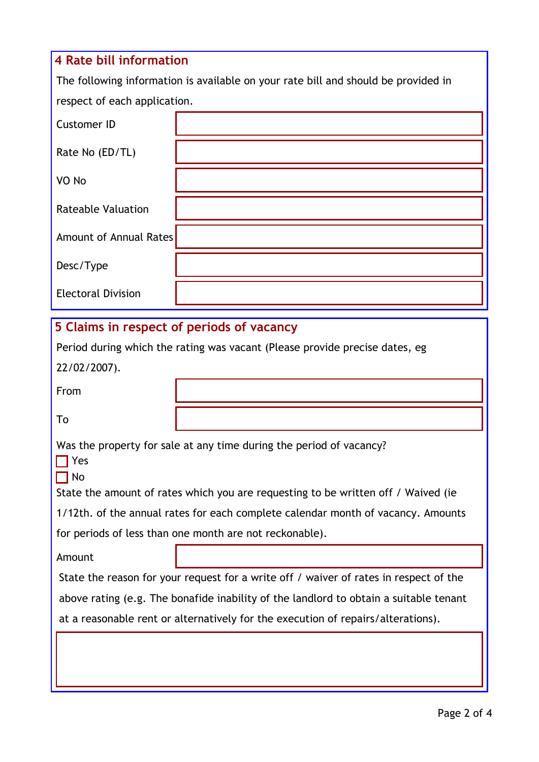# **4 Rate bill information** The following information is available on your rate bill and should be provided in respect of each application. Customer ID Rate No (ED/TL) VO No Rateable Valuation Amount of Annual Rates Desc/Type Electoral Division **5 Claims in respect of periods of vacancy** Period during which the rating was vacant (Please provide precise dates, eg

22/02/2007).

From

To

Was the property for sale at any time during the period of vacancy?

 $\prod$  Yes  $\Box$  No

State the amount of rates which you are requesting to be written off / Waived (ie

1/12th. of the annual rates for each complete calendar month of vacancy. Amounts

for periods of less than one month are not reckonable).

Amount

State the reason for your request for a write off / waiver of rates in respect of the above rating (e.g. The bonafide inability of the landlord to obtain a suitable tenant at a reasonable rent or alternatively for the execution of repairs/alterations).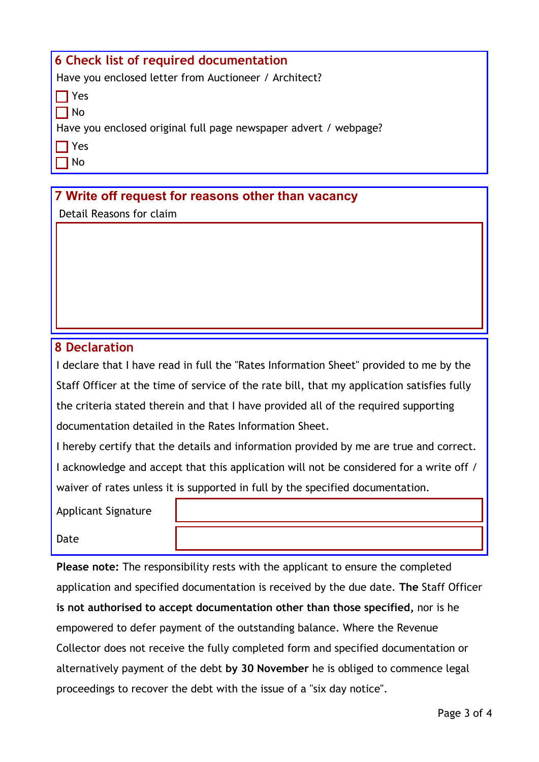| 6 Check list of required documentation                           |  |
|------------------------------------------------------------------|--|
| Have you enclosed letter from Auctioneer / Architect?            |  |
| TYes                                                             |  |
| 1 No                                                             |  |
| Have you enclosed original full page newspaper advert / webpage? |  |
| TYes                                                             |  |
| No                                                               |  |

## **7 Write off request for reasons other than vacancy**

Detail Reasons for claim

## **8 Declaration**

I declare that I have read in full the "Rates Information Sheet" provided to me by the Staff Officer at the time of service of the rate bill, that my application satisfies fully the criteria stated therein and that I have provided all of the required supporting documentation detailed in the Rates Information Sheet.

I hereby certify that the details and information provided by me are true and correct. I acknowledge and accept that this application will not be considered for a write off / waiver of rates unless it is supported in full by the specified documentation.

Applicant Signature

Date

**Please note:** The responsibility rests with the applicant to ensure the completed application and specified documentation is received by the due date. **The** Staff Officer **is not authorised to accept documentation other than those specified,** nor is he empowered to defer payment of the outstanding balance. Where the Revenue Collector does not receive the fully completed form and specified documentation or alternatively payment of the debt **by 30 November** he is obliged to commence legal proceedings to recover the debt with the issue of a "six day notice".